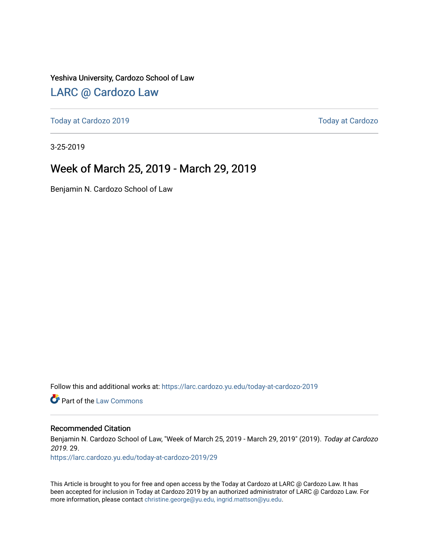Yeshiva University, Cardozo School of Law

### [LARC @ Cardozo Law](https://larc.cardozo.yu.edu/)

[Today at Cardozo 2019](https://larc.cardozo.yu.edu/today-at-cardozo-2019) [Today at Cardozo](https://larc.cardozo.yu.edu/today-at-cardozo) 

3-25-2019

## Week of March 25, 2019 - March 29, 2019

Benjamin N. Cardozo School of Law

Follow this and additional works at: [https://larc.cardozo.yu.edu/today-at-cardozo-2019](https://larc.cardozo.yu.edu/today-at-cardozo-2019?utm_source=larc.cardozo.yu.edu%2Ftoday-at-cardozo-2019%2F29&utm_medium=PDF&utm_campaign=PDFCoverPages)

**C** Part of the [Law Commons](http://network.bepress.com/hgg/discipline/578?utm_source=larc.cardozo.yu.edu%2Ftoday-at-cardozo-2019%2F29&utm_medium=PDF&utm_campaign=PDFCoverPages)

#### Recommended Citation

Benjamin N. Cardozo School of Law, "Week of March 25, 2019 - March 29, 2019" (2019). Today at Cardozo 2019. 29.

[https://larc.cardozo.yu.edu/today-at-cardozo-2019/29](https://larc.cardozo.yu.edu/today-at-cardozo-2019/29?utm_source=larc.cardozo.yu.edu%2Ftoday-at-cardozo-2019%2F29&utm_medium=PDF&utm_campaign=PDFCoverPages) 

This Article is brought to you for free and open access by the Today at Cardozo at LARC @ Cardozo Law. It has been accepted for inclusion in Today at Cardozo 2019 by an authorized administrator of LARC @ Cardozo Law. For more information, please contact [christine.george@yu.edu, ingrid.mattson@yu.edu](mailto:christine.george@yu.edu,%20ingrid.mattson@yu.edu).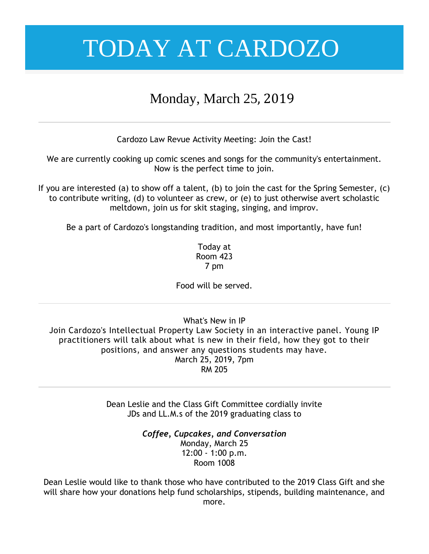## Monday, March 25, 2019

Cardozo Law Revue Activity Meeting: Join the Cast!

We are currently cooking up comic scenes and songs for the community's entertainment. Now is the perfect time to join.

If you are interested (a) to show off a talent, (b) to join the cast for the Spring Semester, (c) to contribute writing, (d) to volunteer as crew, or (e) to just otherwise avert scholastic meltdown, join us for skit staging, singing, and improv.

Be a part of Cardozo's longstanding tradition, and most importantly, have fun!

Today at Room 423 7 pm

Food will be served.

What's New in IP Join Cardozo's Intellectual Property Law Society in an interactive panel. Young IP practitioners will talk about what is new in their field, how they got to their positions, and answer any questions students may have. March 25, 2019, 7pm

RM 205

Dean Leslie and the Class Gift Committee cordially invite JDs and LL.M.s of the 2019 graduating class to

> *Coffee, Cupcakes, and Conversation* Monday, March 25 12:00 - 1:00 p.m. Room 1008

Dean Leslie would like to thank those who have contributed to the 2019 Class Gift and she will share how your donations help fund scholarships, stipends, building maintenance, and more.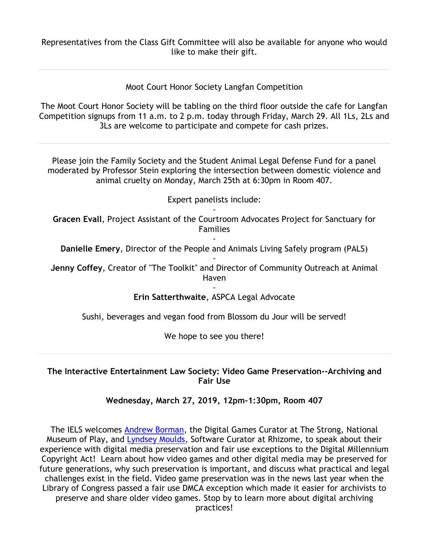Representatives from the Class Gift Committee will also be available for anyone who would like to make their gift.

Moot Court Honor Society Langfan Competition

The Moot Court Honor Society will be tabling on the third floor outside the cafe for Langfan Competition signups from 11 a.m. to 2 p.m. today through Friday, March 29. All 1Ls, 2Ls and 3Ls are welcome to participate and compete for cash prizes.

Please join the Family Society and the Student Animal Legal Defense Fund for a panel moderated by Professor Stein exploring the intersection between domestic violence and animal cruelty on Monday, March 25th at 6:30pm in Room 407.

Expert panelists include:

- **Gracen Evall**, Project Assistant of the Courtroom Advocates Project for Sanctuary for Families

- **Danielle Emery**, Director of the People and Animals Living Safely program (PALS) -

**Jenny Coffey**, Creator of "The Toolkit" and Director of Community Outreach at Animal Haven

> - **Erin Satterthwaite**, ASPCA Legal Advocate

Sushi, beverages and vegan food from Blossom du Jour will be served!

We hope to see you there!

#### **The Interactive Entertainment Law Society: Video Game Preservation--Archiving and Fair Use**

**Wednesday, March 27, 2019, 12pm-1:30pm, Room 407**

The IELS welcomes Andrew Borman, the Digital Games Curator at The Strong, National Museum of Play, and Lyndsey Moulds, Software Curator at Rhizome, to speak about their experience with digital media preservation and fair use exceptions to the Digital Millennium Copyright Act! Learn about how video games and other digital media may be preserved for future generations, why such preservation is important, and discuss what practical and legal challenges exist in the field. Video game preservation was in the news last year when the Library of Congress passed a fair use DMCA exception which made it easier for archivists to preserve and share older video games. Stop by to learn more about digital archiving practices!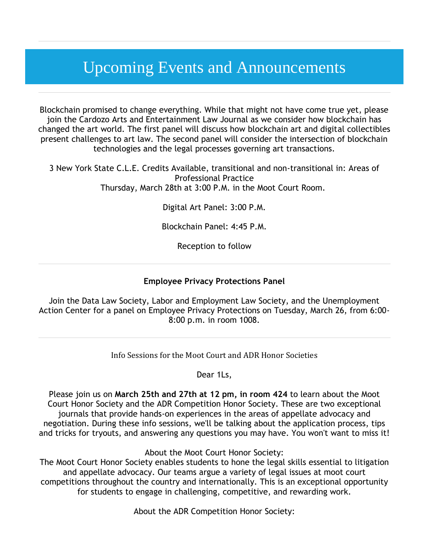# Upcoming Events and Announcements

Blockchain promised to change everything. While that might not have come true yet, please join the Cardozo Arts and Entertainment Law Journal as we consider how blockchain has changed the art world. The first panel will discuss how blockchain art and digital collectibles present challenges to art law. The second panel will consider the intersection of blockchain technologies and the legal processes governing art transactions.

3 New York State C.L.E. Credits Available, transitional and non-transitional in: Areas of Professional Practice Thursday, March 28th at 3:00 P.M. in the Moot Court Room.

Digital Art Panel: 3:00 P.M.

Blockchain Panel: 4:45 P.M.

Reception to follow

#### **Employee Privacy Protections Panel**

Join the Data Law Society, Labor and Employment Law Society, and the Unemployment Action Center for a panel on Employee Privacy Protections on Tuesday, March 26, from 6:00- 8:00 p.m. in room 1008.

Info Sessions for the Moot Court and ADR Honor Societies

Dear 1Ls,

Please join us on **March 25th and 27th at 12 pm, in room 424** to learn about the Moot Court Honor Society and the ADR Competition Honor Society. These are two exceptional journals that provide hands-on experiences in the areas of appellate advocacy and negotiation. During these info sessions, we'll be talking about the application process, tips and tricks for tryouts, and answering any questions you may have. You won't want to miss it!

About the Moot Court Honor Society:

The Moot Court Honor Society enables students to hone the legal skills essential to litigation and appellate advocacy. Our teams argue a variety of legal issues at moot court competitions throughout the country and internationally. This is an exceptional opportunity for students to engage in challenging, competitive, and rewarding work.

About the ADR Competition Honor Society: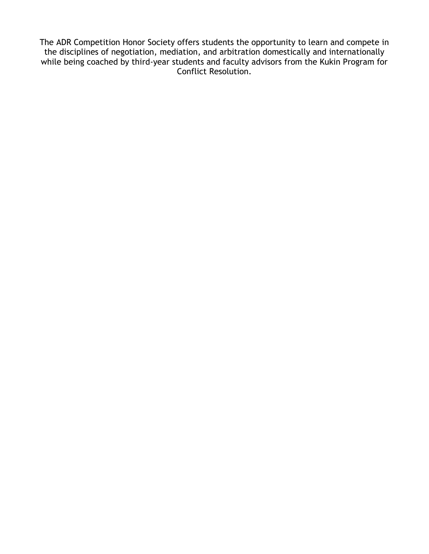The ADR Competition Honor Society offers students the opportunity to learn and compete in the disciplines of negotiation, mediation, and arbitration domestically and internationally while being coached by third-year students and faculty advisors from the Kukin Program for Conflict Resolution.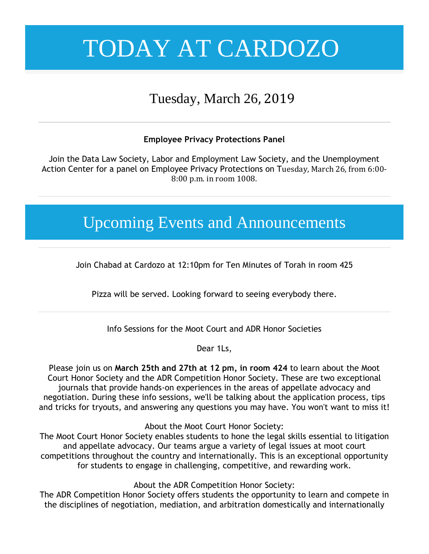# Tuesday, March 26, 2019

### **Employee Privacy Protections Panel**

Join the Data Law Society, Labor and Employment Law Society, and the Unemployment Action Center for a panel on Employee Privacy Protections on Tuesday, March 26, from 6:00- 8:00 p.m. in room 1008.

# Upcoming Events and Announcements

Join Chabad at Cardozo at 12:10pm for Ten Minutes of Torah in room 425

Pizza will be served. Looking forward to seeing everybody there.

Info Sessions for the Moot Court and ADR Honor Societies

Dear 1Ls,

Please join us on **March 25th and 27th at 12 pm, in room 424** to learn about the Moot Court Honor Society and the ADR Competition Honor Society. These are two exceptional journals that provide hands-on experiences in the areas of appellate advocacy and negotiation. During these info sessions, we'll be talking about the application process, tips and tricks for tryouts, and answering any questions you may have. You won't want to miss it!

About the Moot Court Honor Society:

The Moot Court Honor Society enables students to hone the legal skills essential to litigation and appellate advocacy. Our teams argue a variety of legal issues at moot court competitions throughout the country and internationally. This is an exceptional opportunity for students to engage in challenging, competitive, and rewarding work.

About the ADR Competition Honor Society:

The ADR Competition Honor Society offers students the opportunity to learn and compete in the disciplines of negotiation, mediation, and arbitration domestically and internationally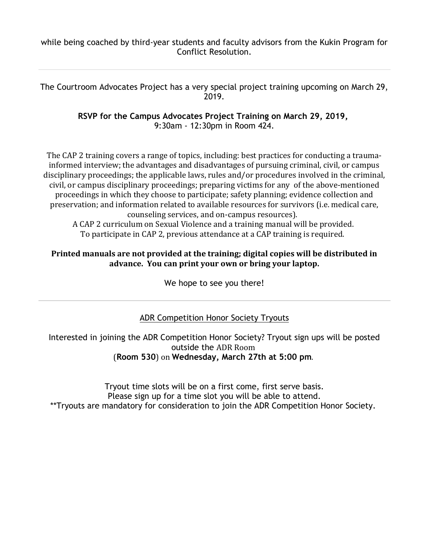while being coached by third-year students and faculty advisors from the Kukin Program for Conflict Resolution.

The Courtroom Advocates Project has a very special project training upcoming on March 29, 2019.

> **RSVP for the Campus Advocates Project Training on March 29, 2019,** 9:30am - 12:30pm in Room 424.

The CAP 2 training covers a range of topics, including: best practices for conducting a traumainformed interview; the advantages and disadvantages of pursuing criminal, civil, or campus disciplinary proceedings; the applicable laws, rules and/or procedures involved in the criminal, civil, or campus disciplinary proceedings; preparing victims for any of the above-mentioned proceedings in which they choose to participate; safety planning; evidence collection and preservation; and information related to available resources for survivors (i.e. medical care, counseling services, and on-campus resources).

A CAP 2 curriculum on Sexual Violence and a training manual will be provided. To participate in CAP 2, previous attendance at a CAP training is required.

#### **Printed manuals are not provided at the training; digital copies will be distributed in advance. You can print your own or bring your laptop.**

We hope to see you there!

### ADR Competition Honor Society Tryouts

Interested in joining the ADR Competition Honor Society? Tryout sign ups will be posted outside the ADR Room (**Room 530**) on **Wednesday, March 27th at 5:00 pm**.

Tryout time slots will be on a first come, first serve basis. Please sign up for a time slot you will be able to attend. \*\*Tryouts are mandatory for consideration to join the ADR Competition Honor Society.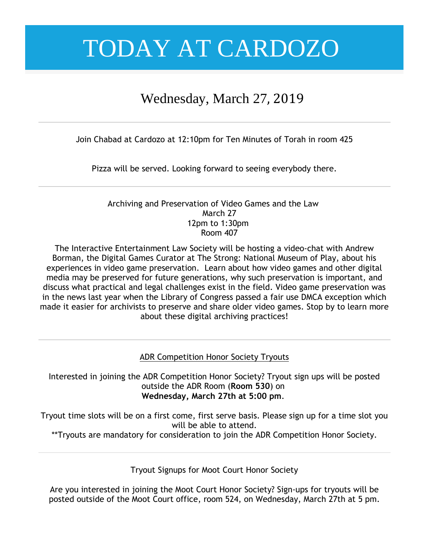## Wednesday, March 27, 2019

Join Chabad at Cardozo at 12:10pm for Ten Minutes of Torah in room 425

Pizza will be served. Looking forward to seeing everybody there.

#### Archiving and Preservation of Video Games and the Law March 27 12pm to 1:30pm Room 407

The Interactive Entertainment Law Society will be hosting a video-chat with Andrew Borman, the Digital Games Curator at The Strong: National Museum of Play, about his experiences in video game preservation. Learn about how video games and other digital media may be preserved for future generations, why such preservation is important, and discuss what practical and legal challenges exist in the field. Video game preservation was in the news last year when the Library of Congress passed a fair use DMCA exception which made it easier for archivists to preserve and share older video games. Stop by to learn more about these digital archiving practices!

ADR Competition Honor Society Tryouts

Interested in joining the ADR Competition Honor Society? Tryout sign ups will be posted outside the ADR Room (**Room 530**) on **Wednesday, March 27th at 5:00 pm**.

Tryout time slots will be on a first come, first serve basis. Please sign up for a time slot you will be able to attend.

\*\*Tryouts are mandatory for consideration to join the ADR Competition Honor Society.

Tryout Signups for Moot Court Honor Society

Are you interested in joining the Moot Court Honor Society? Sign-ups for tryouts will be posted outside of the Moot Court office, room 524, on Wednesday, March 27th at 5 pm.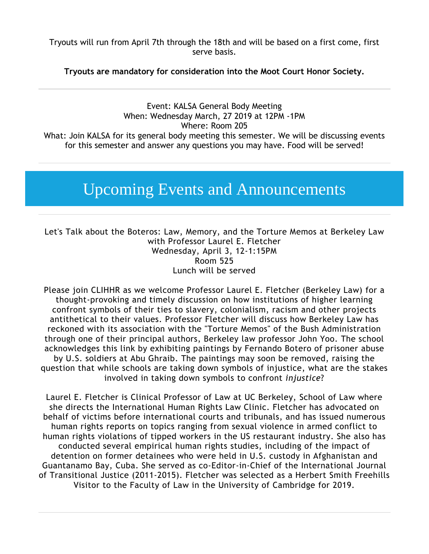Tryouts will run from April 7th through the 18th and will be based on a first come, first serve basis.

**Tryouts are mandatory for consideration into the Moot Court Honor Society.**

Event: KALSA General Body Meeting When: Wednesday March, 27 2019 at 12PM -1PM Where: Room 205 What: Join KALSA for its general body meeting this semester. We will be discussing events for this semester and answer any questions you may have. Food will be served!

# Upcoming Events and Announcements

Let's Talk about the Boteros: Law, Memory, and the Torture Memos at Berkeley Law with Professor Laurel E. Fletcher Wednesday, April 3, 12-1:15PM Room 525 Lunch will be served

Please join CLIHHR as we welcome Professor Laurel E. Fletcher (Berkeley Law) for a thought-provoking and timely discussion on how institutions of higher learning confront symbols of their ties to slavery, colonialism, racism and other projects antithetical to their values. Professor Fletcher will discuss how Berkeley Law has reckoned with its association with the "Torture Memos" of the Bush Administration through one of their principal authors, Berkeley law professor John Yoo. The school acknowledges this link by exhibiting paintings by Fernando Botero of prisoner abuse by U.S. soldiers at Abu Ghraib. The paintings may soon be removed, raising the question that while schools are taking down symbols of injustice, what are the stakes involved in taking down symbols to confront *injustice*?

Laurel E. Fletcher is Clinical Professor of Law at UC Berkeley, School of Law where she directs the International Human Rights Law Clinic. Fletcher has advocated on behalf of victims before international courts and tribunals, and has issued numerous human rights reports on topics ranging from sexual violence in armed conflict to human rights violations of tipped workers in the US restaurant industry. She also has conducted several empirical human rights studies, including of the impact of detention on former detainees who were held in U.S. custody in Afghanistan and Guantanamo Bay, Cuba. She served as co-Editor-in-Chief of the International Journal of Transitional Justice (2011-2015). Fletcher was selected as a Herbert Smith Freehills Visitor to the Faculty of Law in the University of Cambridge for 2019.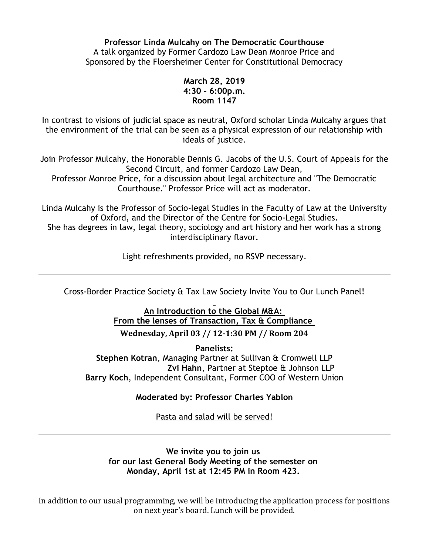**Professor Linda Mulcahy on The Democratic Courthouse** A talk organized by Former Cardozo Law Dean Monroe Price and Sponsored by the Floersheimer Center for Constitutional Democracy

#### **March 28, 2019 4:30 - 6:00p.m. Room 1147**

In contrast to visions of judicial space as neutral, Oxford scholar Linda Mulcahy argues that the environment of the trial can be seen as a physical expression of our relationship with ideals of justice.

Join Professor Mulcahy, the Honorable Dennis G. Jacobs of the U.S. Court of Appeals for the Second Circuit, and former Cardozo Law Dean,

Professor Monroe Price, for a discussion about legal architecture and "The Democratic Courthouse." Professor Price will act as moderator.

Linda Mulcahy is the Professor of Socio-legal Studies in the Faculty of Law at the University of Oxford, and the Director of the Centre for Socio-Legal Studies.

She has degrees in law, legal theory, sociology and art history and her work has a strong interdisciplinary flavor.

Light refreshments provided, no RSVP necessary.

Cross-Border Practice Society & Tax Law Society Invite You to Our Lunch Panel!

### **An Introduction to the Global M&A: From the lenses of Transaction, Tax & Compliance Wednesday, April 03 // 12-1:30 PM // Room 204**

**Panelists: Stephen Kotran**, Managing Partner at Sullivan & Cromwell LLP  **Zvi Hahn**, Partner at Steptoe & Johnson LLP **Barry Koch**, Independent Consultant, Former COO of Western Union

### **Moderated by: Professor Charles Yablon**

Pasta and salad will be served!

#### **We invite you to join us for our last General Body Meeting of the semester on Monday, April 1st at 12:45 PM in Room 423.**

In addition to our usual programming, we will be introducing the application process for positions on next year's board. Lunch will be provided.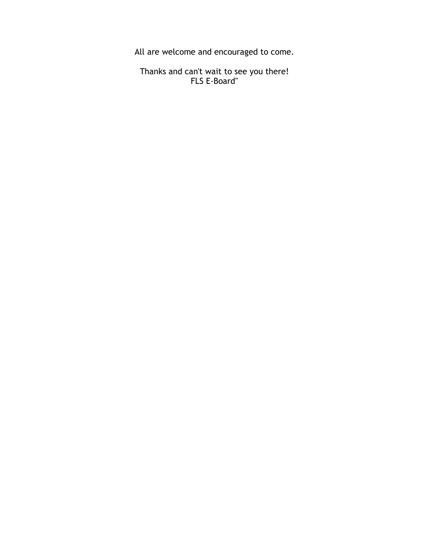All are welcome and encouraged to come.

Thanks and can't wait to see you there! FLS E-Board"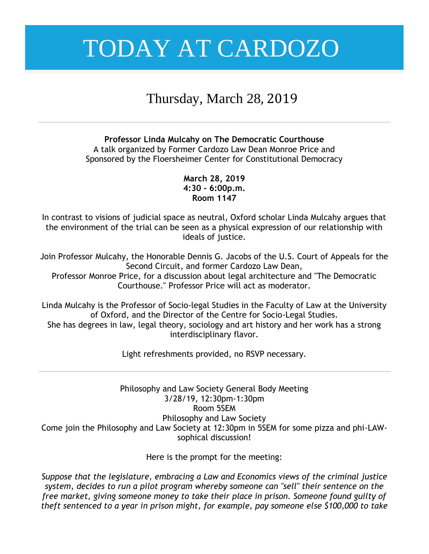## Thursday, March 28, 2019

**Professor Linda Mulcahy on The Democratic Courthouse** A talk organized by Former Cardozo Law Dean Monroe Price and Sponsored by the Floersheimer Center for Constitutional Democracy

> **March 28, 2019 4:30 - 6:00p.m. Room 1147**

In contrast to visions of judicial space as neutral, Oxford scholar Linda Mulcahy argues that the environment of the trial can be seen as a physical expression of our relationship with ideals of justice.

Join Professor Mulcahy, the Honorable Dennis G. Jacobs of the U.S. Court of Appeals for the Second Circuit, and former Cardozo Law Dean,

Professor Monroe Price, for a discussion about legal architecture and "The Democratic Courthouse." Professor Price will act as moderator.

Linda Mulcahy is the Professor of Socio-legal Studies in the Faculty of Law at the University of Oxford, and the Director of the Centre for Socio-Legal Studies. She has degrees in law, legal theory, sociology and art history and her work has a strong interdisciplinary flavor.

Light refreshments provided, no RSVP necessary.

Philosophy and Law Society General Body Meeting 3/28/19, 12:30pm-1:30pm Room 5SEM Philosophy and Law Society Come join the Philosophy and Law Society at 12:30pm in 5SEM for some pizza and phi-LAWsophical discussion!

Here is the prompt for the meeting:

*Suppose that the legislature, embracing a Law and Economics views of the criminal justice system, decides to run a pilot program whereby someone can "sell" their sentence on the free market, giving someone money to take their place in prison. Someone found guilty of theft sentenced to a year in prison might, for example, pay someone else \$100,000 to take*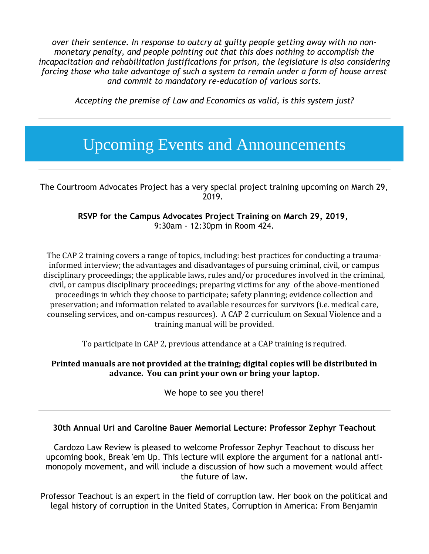*over their sentence. In response to outcry at guilty people getting away with no nonmonetary penalty, and people pointing out that this does nothing to accomplish the incapacitation and rehabilitation justifications for prison, the legislature is also considering forcing those who take advantage of such a system to remain under a form of house arrest and commit to mandatory re-education of various sorts.*

*Accepting the premise of Law and Economics as valid, is this system just?*

# Upcoming Events and Announcements

The Courtroom Advocates Project has a very special project training upcoming on March 29, 2019.

> **RSVP for the Campus Advocates Project Training on March 29, 2019,** 9:30am - 12:30pm in Room 424.

The CAP 2 training covers a range of topics, including: best practices for conducting a traumainformed interview; the advantages and disadvantages of pursuing criminal, civil, or campus disciplinary proceedings; the applicable laws, rules and/or procedures involved in the criminal, civil, or campus disciplinary proceedings; preparing victims for any of the above-mentioned proceedings in which they choose to participate; safety planning; evidence collection and preservation; and information related to available resources for survivors (i.e. medical care, counseling services, and on-campus resources). A CAP 2 curriculum on Sexual Violence and a training manual will be provided.

To participate in CAP 2, previous attendance at a CAP training is required.

#### **Printed manuals are not provided at the training; digital copies will be distributed in advance. You can print your own or bring your laptop.**

We hope to see you there!

#### **30th Annual Uri and Caroline Bauer Memorial Lecture: Professor Zephyr Teachout**

Cardozo Law Review is pleased to welcome Professor Zephyr Teachout to discuss her upcoming book, Break 'em Up. This lecture will explore the argument for a national antimonopoly movement, and will include a discussion of how such a movement would affect the future of law.

Professor Teachout is an expert in the field of corruption law. Her book on the political and legal history of corruption in the United States, Corruption in America: From Benjamin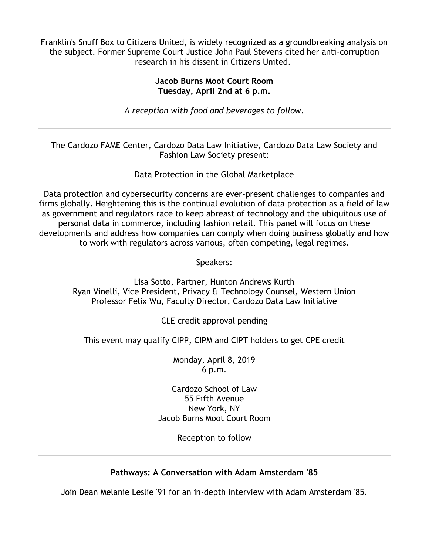Franklin's Snuff Box to Citizens United, is widely recognized as a groundbreaking analysis on the subject. Former Supreme Court Justice John Paul Stevens cited her anti-corruption research in his dissent in Citizens United.

#### **Jacob Burns Moot Court Room Tuesday, April 2nd at 6 p.m.**

*A reception with food and beverages to follow.*

The Cardozo FAME Center, Cardozo Data Law Initiative, Cardozo Data Law Society and Fashion Law Society present:

Data Protection in the Global Marketplace

Data protection and cybersecurity concerns are ever-present challenges to companies and firms globally. Heightening this is the continual evolution of data protection as a field of law as government and regulators race to keep abreast of technology and the ubiquitous use of personal data in commerce, including fashion retail. This panel will focus on these developments and address how companies can comply when doing business globally and how to work with regulators across various, often competing, legal regimes.

Speakers:

Lisa Sotto, Partner, Hunton Andrews Kurth Ryan Vinelli, Vice President, Privacy & Technology Counsel, Western Union Professor Felix Wu, Faculty Director, Cardozo Data Law Initiative

CLE credit approval pending

This event may qualify CIPP, CIPM and CIPT holders to get CPE credit

Monday, April 8, 2019 6 p.m.

Cardozo School of Law 55 Fifth Avenue New York, NY Jacob Burns Moot Court Room

Reception to follow

### **Pathways: A Conversation with Adam Amsterdam '85**

Join Dean Melanie Leslie '91 for an in-depth interview with Adam Amsterdam '85.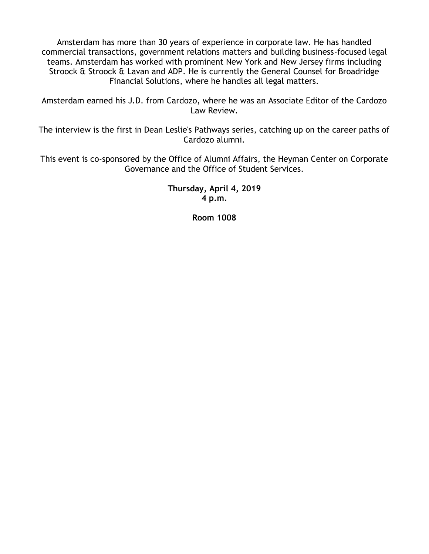Amsterdam has more than 30 years of experience in corporate law. He has handled commercial transactions, government relations matters and building business-focused legal teams. Amsterdam has worked with prominent New York and New Jersey firms including Stroock & Stroock & Lavan and ADP. He is currently the General Counsel for Broadridge Financial Solutions, where he handles all legal matters.

Amsterdam earned his J.D. from Cardozo, where he was an Associate Editor of the Cardozo Law Review.

The interview is the first in Dean Leslie's Pathways series, catching up on the career paths of Cardozo alumni.

This event is co-sponsored by the Office of Alumni Affairs, the Heyman Center on Corporate Governance and the Office of Student Services.

> **Thursday, April 4, 2019 4 p.m.**

> > **Room 1008**